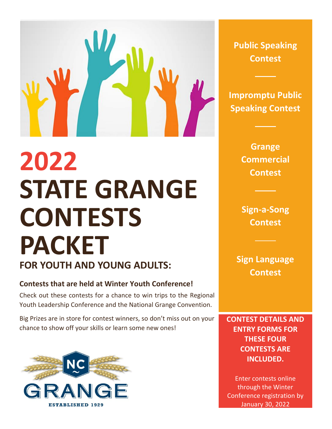

# **2022 STATE GRANGE CONTESTS PACKET FOR YOUTH AND YOUNG ADULTS:**

## **Contests that are held at Winter Youth Conference!**

Check out these contests for a chance to win trips to the Regional Youth Leadership Conference and the National Grange Convention.

Big Prizes are in store for contest winners, so don't miss out on your chance to show off your skills or learn some new ones!



**Public Speaking Contest**

**Impromptu Public Speaking Contest**

> **Grange Commercial Contest**

> **Sign-a-Song Contest**

**Sign Language Contest**

**CONTEST DETAILS AND ENTRY FORMS FOR THESE FOUR CONTESTS ARE INCLUDED.**

Enter contests online through the Winter Conference registration by January 30, 2022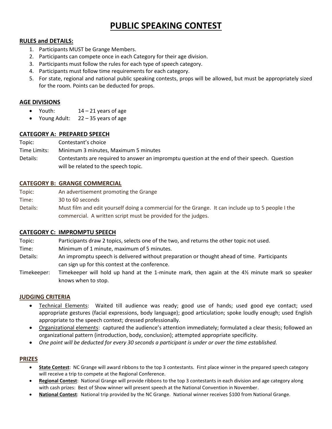# **PUBLIC SPEAKING CONTEST**

#### **RULES and DETAILS:**

- 1. Participants MUST be Grange Members.
- 2. Participants can compete once in each Category for their age division.
- 3. Participants must follow the rules for each type of speech category.
- 4. Participants must follow time requirements for each category.
- 5. For state, regional and national public speaking contests, props will be allowed, but must be appropriately sized for the room. Points can be deducted for props.

#### **AGE DIVISIONS**

- Youth:  $14 21$  years of age
- Young Adult:  $22 35$  years of age

#### **CATEGORY A: PREPARED SPEECH**

Topic: Contestant's choice

- Time Limits: Minimum 3 minutes, Maximum 5 minutes
- Details: Contestants are required to answer an impromptu question at the end of their speech. Question will be related to the speech topic.

#### **CATEGORY B: GRANGE COMMERCIAL**

- Topic: An advertisement promoting the Grange
- Time: 30 to 60 seconds
- Details: Must film and edit yourself doing a commercial for the Grange. It can include up to 5 people I the commercial. A written script must be provided for the judges.

#### **CATEGORY C: IMPROMPTU SPEECH**

- Topic: Participants draw 2 topics, selects one of the two, and returns the other topic not used.
- Time: Minimum of 1 minute, maximum of 5 minutes.
- Details: An impromptu speech is delivered without preparation or thought ahead of time. Participants can sign up for this contest at the conference.
- Timekeeper: Timekeeper will hold up hand at the 1-minute mark, then again at the 4½ minute mark so speaker knows when to stop.

#### **JUDGING CRITERIA**

- Technical Elements: Waited till audience was ready; good use of hands; used good eye contact; used appropriate gestures (facial expressions, body language); good articulation; spoke loudly enough; used English appropriate to the speech context; dressed professionally.
- Organizational elements: captured the audience's attention immediately; formulated a clear thesis; followed an organizational pattern (introduction, body, conclusion); attempted appropriate specificity.
- *One point will be deducted for every 30 seconds a participant is under or over the time established.*

#### **PRIZES**

- **State Contest**: NC Grange will award ribbons to the top 3 contestants. First place winner in the prepared speech category will receive a trip to compete at the Regional Conference.
- **Regional Contest**: National Grange will provide ribbons to the top 3 contestants in each division and age category along with cash prizes: Best of Show winner will present speech at the National Convention in November.
- **National Contest**: National trip provided by the NC Grange. National winner receives \$100 from National Grange.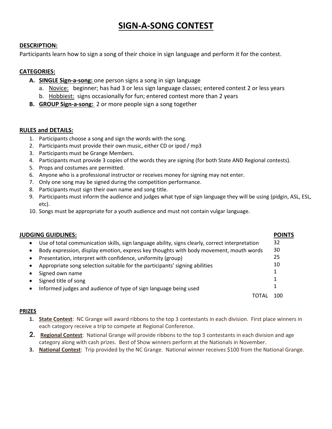# **SIGN-A-SONG CONTEST**

#### **DESCRIPTION:**

Participants learn how to sign a song of their choice in sign language and perform it for the contest.

#### **CATEGORIES:**

- **A. SINGLE Sign-a-song:** one person signs a song in sign language
	- a. Novice: beginner; has had 3 or less sign language classes; entered contest 2 or less years
	- b. Hobbiest: signs occasionally for fun; entered contest more than 2 years
- **B. GROUP Sign-a-song:** 2 or more people sign a song together

#### **RULES and DETAILS:**

- 1. Participants choose a song and sign the words with the song.
- 2. Participants must provide their own music, either CD or ipod / mp3
- 3. Participants must be Grange Members.
- 4. Participants must provide 3 copies of the words they are signing (for both State AND Regional contests).
- 5. Props and costumes are permitted.
- 6. Anyone who is a professional instructor or receives money for signing may not enter.
- 7. Only one song may be signed during the competition performance.
- 8. Participants must sign their own name and song title.
- 9. Participants must inform the audience and judges what type of sign language they will be using (pidgin, ASL, ESL, etc).
- 10. Songs must be appropriate for a youth audience and must not contain vulgar language.

| JUDGING GUIDLINES:                                                                                           | <b>POINTS</b> |
|--------------------------------------------------------------------------------------------------------------|---------------|
| Use of total communication skills, sign language ability, signs clearly, correct interpretation<br>$\bullet$ | 32            |
| Body expression, display emotion, express key thoughts with body movement, mouth words                       | 30            |
| Presentation, interpret with confidence, uniformity (group)                                                  | 25            |
| Appropriate song selection suitable for the participants' signing abilities                                  | 10            |
| Signed own name                                                                                              |               |
| Signed title of song                                                                                         |               |
| Informed judges and audience of type of sign language being used                                             |               |
| ΤΟΤΑΙ                                                                                                        | 100           |

#### **PRIZES**

- **1. State Contest**: NC Grange will award ribbons to the top 3 contestants in each division. First place winners in each category receive a trip to compete at Regional Conference.
- **2. Regional Contest**: National Grange will provide ribbons to the top 3 contestants in each division and age category along with cash prizes. Best of Show winners perform at the Nationals in November.
- **3. National Contest**: Trip provided by the NC Grange. National winner receives \$100 from the National Grange.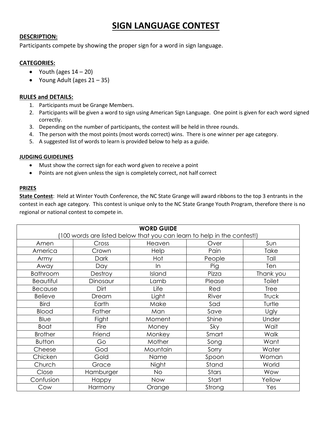# **SIGN LANGUAGE CONTEST**

#### **DESCRIPTION:**

Participants compete by showing the proper sign for a word in sign language.

#### **CATEGORIES:**

- Youth (ages  $14 20$ )
- Young Adult (ages 21 35)

#### **RULES and DETAILS:**

- 1. Participants must be Grange Members.
- 2. Participants will be given a word to sign using American Sign Language. One point is given for each word signed correctly.
- 3. Depending on the number of participants, the contest will be held in three rounds.
- 4. The person with the most points (most words correct) wins. There is one winner per age category.
- 5. A suggested list of words to learn is provided below to help as a guide.

#### **JUDGING GUIDELINES**

- Must show the correct sign for each word given to receive a point
- Points are not given unless the sign is completely correct, not half correct

#### **PRIZES**

**State Contest**: Held at Winter Youth Conference, the NC State Grange will award ribbons to the top 3 entrants in the contest in each age category. This contest is unique only to the NC State Grange Youth Program, therefore there is no regional or national contest to compete in.

| <b>WORD GUIDE</b>                                                       |           |           |        |           |  |
|-------------------------------------------------------------------------|-----------|-----------|--------|-----------|--|
| (100 words are listed below that you can learn to help in the contest!) |           |           |        |           |  |
| Amen                                                                    | Cross     | Heaven    | Over   | Sun       |  |
| America                                                                 | Crown     | Help      | Pain   | Take      |  |
| Army                                                                    | Dark      | Hot       | People | Tall      |  |
| Away                                                                    | Day       | $\ln$     | Pig    | Ten       |  |
| <b>Bathroom</b>                                                         | Destroy   | Island    | Pizza  | Thank you |  |
| <b>Beautiful</b>                                                        | Dinosaur  | Lamb      | Please | Toilet    |  |
| Because                                                                 | Dirt      | Life      | Red    | Tree      |  |
| <b>Believe</b>                                                          | Dream     | Light     | River  | Truck     |  |
| <b>Bird</b>                                                             | Earth     | Make      | Sad    | Turtle    |  |
| <b>Blood</b>                                                            | Father    | Man       | Save   | Ugly      |  |
| Blue                                                                    | Fight     | Moment    | Shine  | Under     |  |
| <b>Boat</b>                                                             | Fire      | Money     | Sky    | Wait      |  |
| <b>Brother</b>                                                          | Friend    | Monkey    | Smart  | Walk      |  |
| <b>Button</b>                                                           | Go        | Mother    | Song   | Want      |  |
| Cheese                                                                  | God       | Mountain  | Sorry  | Water     |  |
| Chicken                                                                 | Gold      | Name      | Spoon  | Woman     |  |
| Church                                                                  | Grace     | Night     | Stand  | World     |  |
| Close                                                                   | Hamburger | <b>No</b> | Stars  | Wow       |  |
| Confusion                                                               | Happy     | Now       | Start  | Yellow    |  |
| Cow                                                                     | Harmony   | Orange    | Strong | Yes       |  |